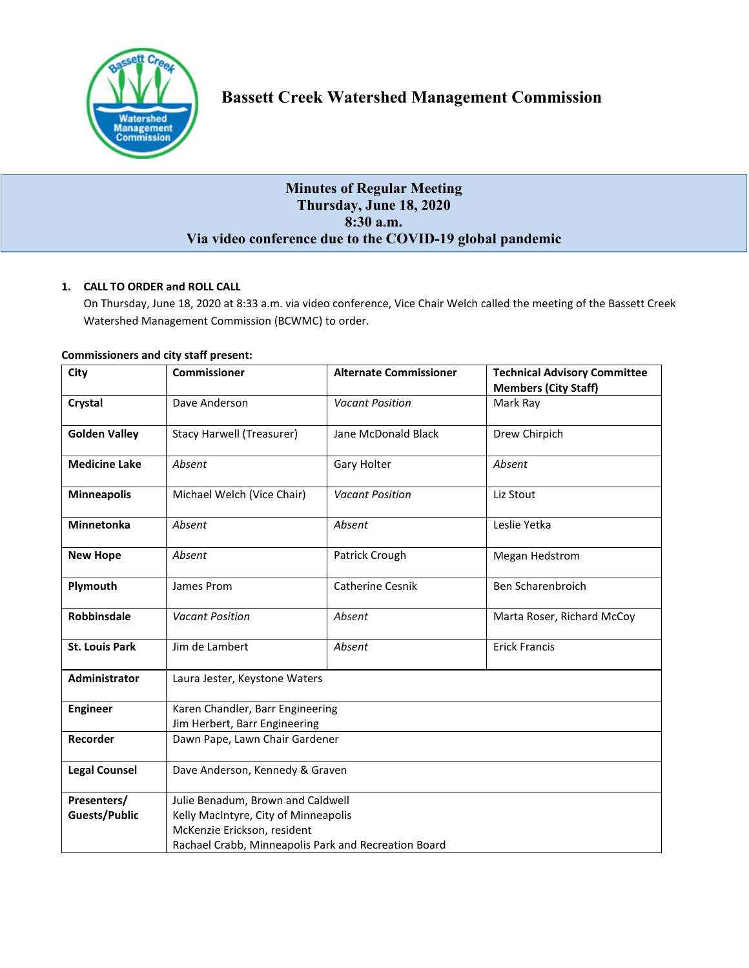

# **Minutes of Regular Meeting Thursday, June 18, 2020 8:30 a.m. Via video conference due to the COVID-19 global pandemic**

# **1. CALL TO ORDER and ROLL CALL**

On Thursday, June 18, 2020 at 8:33 a.m. via video conference, Vice Chair Welch called the meeting of the Bassett Creek Watershed Management Commission (BCWMC) to order.

| City                  | <b>Commissioner</b>                                  | <b>Alternate Commissioner</b> | <b>Technical Advisory Committee</b> |  |
|-----------------------|------------------------------------------------------|-------------------------------|-------------------------------------|--|
|                       |                                                      |                               | <b>Members (City Staff)</b>         |  |
| Crystal               | Dave Anderson                                        | <b>Vacant Position</b>        | Mark Ray                            |  |
| <b>Golden Valley</b>  | <b>Stacy Harwell (Treasurer)</b>                     | Jane McDonald Black           | Drew Chirpich                       |  |
| <b>Medicine Lake</b>  | Absent                                               | Gary Holter                   | Absent                              |  |
| <b>Minneapolis</b>    | Michael Welch (Vice Chair)                           | <b>Vacant Position</b>        | Liz Stout                           |  |
| <b>Minnetonka</b>     | Absent                                               | Absent                        | Leslie Yetka                        |  |
| <b>New Hope</b>       | Absent                                               | Patrick Crough                | Megan Hedstrom                      |  |
| Plymouth              | James Prom                                           | Catherine Cesnik              | Ben Scharenbroich                   |  |
| <b>Robbinsdale</b>    | <b>Vacant Position</b>                               | Absent                        | Marta Roser, Richard McCoy          |  |
| <b>St. Louis Park</b> | Jim de Lambert                                       | Absent                        | <b>Erick Francis</b>                |  |
| Administrator         | Laura Jester, Keystone Waters                        |                               |                                     |  |
| <b>Engineer</b>       | Karen Chandler, Barr Engineering                     |                               |                                     |  |
|                       | Jim Herbert, Barr Engineering                        |                               |                                     |  |
| Recorder              | Dawn Pape, Lawn Chair Gardener                       |                               |                                     |  |
|                       |                                                      |                               |                                     |  |
| <b>Legal Counsel</b>  | Dave Anderson, Kennedy & Graven                      |                               |                                     |  |
| Presenters/           | Julie Benadum, Brown and Caldwell                    |                               |                                     |  |
| <b>Guests/Public</b>  | Kelly MacIntyre, City of Minneapolis                 |                               |                                     |  |
|                       | McKenzie Erickson, resident                          |                               |                                     |  |
|                       | Rachael Crabb, Minneapolis Park and Recreation Board |                               |                                     |  |

## **Commissioners and city staff present:**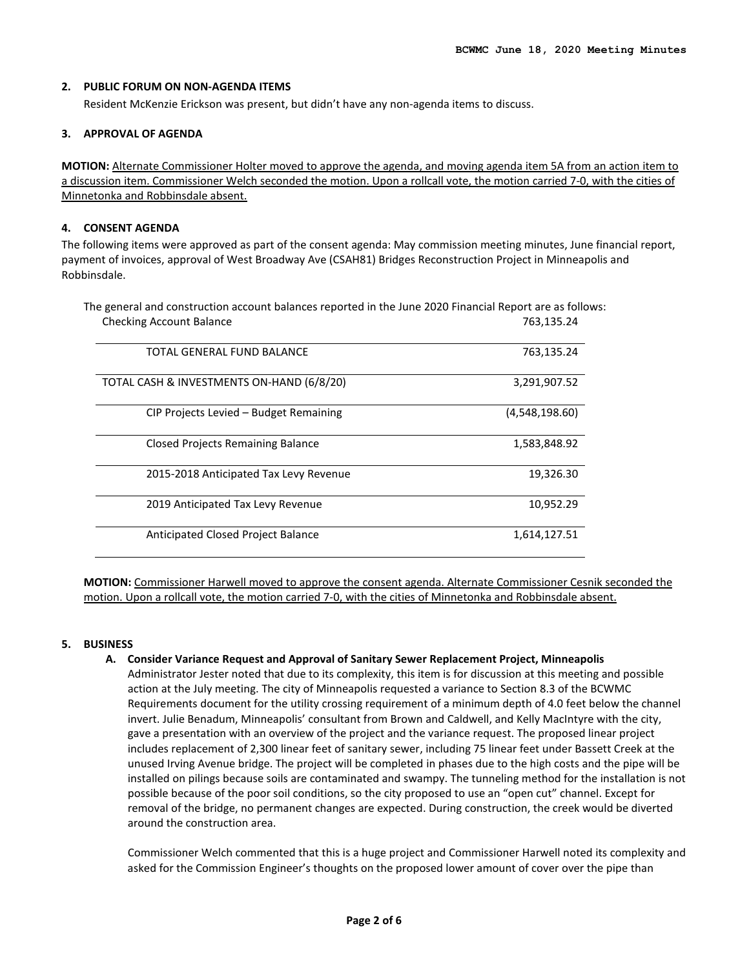#### **2. PUBLIC FORUM ON NON-AGENDA ITEMS**

Resident McKenzie Erickson was present, but didn't have any non-agenda items to discuss.

#### **3. APPROVAL OF AGENDA**

**MOTION:** Alternate Commissioner Holter moved to approve the agenda, and moving agenda item 5A from an action item to a discussion item. Commissioner Welch seconded the motion. Upon a rollcall vote, the motion carried 7-0, with the cities of Minnetonka and Robbinsdale absent.

#### **4. CONSENT AGENDA**

The following items were approved as part of the consent agenda: May commission meeting minutes, June financial report, payment of invoices, approval of West Broadway Ave (CSAH81) Bridges Reconstruction Project in Minneapolis and Robbinsdale.

The general and construction account balances reported in the June 2020 Financial Report are as follows: Checking Account Balance **763,135.24** The Checking Account Balance

| TOTAL GENERAL FUND BALANCE                | 763,135.24     |
|-------------------------------------------|----------------|
| TOTAL CASH & INVESTMENTS ON-HAND (6/8/20) | 3,291,907.52   |
| CIP Projects Levied - Budget Remaining    | (4,548,198.60) |
| Closed Projects Remaining Balance         | 1,583,848.92   |
| 2015-2018 Anticipated Tax Levy Revenue    | 19,326.30      |
| 2019 Anticipated Tax Levy Revenue         | 10,952.29      |
| Anticipated Closed Project Balance        | 1,614,127.51   |

**MOTION:** Commissioner Harwell moved to approve the consent agenda. Alternate Commissioner Cesnik seconded the motion. Upon a rollcall vote, the motion carried 7-0, with the cities of Minnetonka and Robbinsdale absent.

## **5. BUSINESS**

#### **A. Consider Variance Request and Approval of Sanitary Sewer Replacement Project, Minneapolis**

Administrator Jester noted that due to its complexity, this item is for discussion at this meeting and possible action at the July meeting. The city of Minneapolis requested a variance to Section 8.3 of the BCWMC Requirements document for the utility crossing requirement of a minimum depth of 4.0 feet below the channel invert. Julie Benadum, Minneapolis' consultant from Brown and Caldwell, and Kelly MacIntyre with the city, gave a presentation with an overview of the project and the variance request. The proposed linear project includes replacement of 2,300 linear feet of sanitary sewer, including 75 linear feet under Bassett Creek at the unused Irving Avenue bridge. The project will be completed in phases due to the high costs and the pipe will be installed on pilings because soils are contaminated and swampy. The tunneling method for the installation is not possible because of the poor soil conditions, so the city proposed to use an "open cut" channel. Except for removal of the bridge, no permanent changes are expected. During construction, the creek would be diverted around the construction area.

Commissioner Welch commented that this is a huge project and Commissioner Harwell noted its complexity and asked for the Commission Engineer's thoughts on the proposed lower amount of cover over the pipe than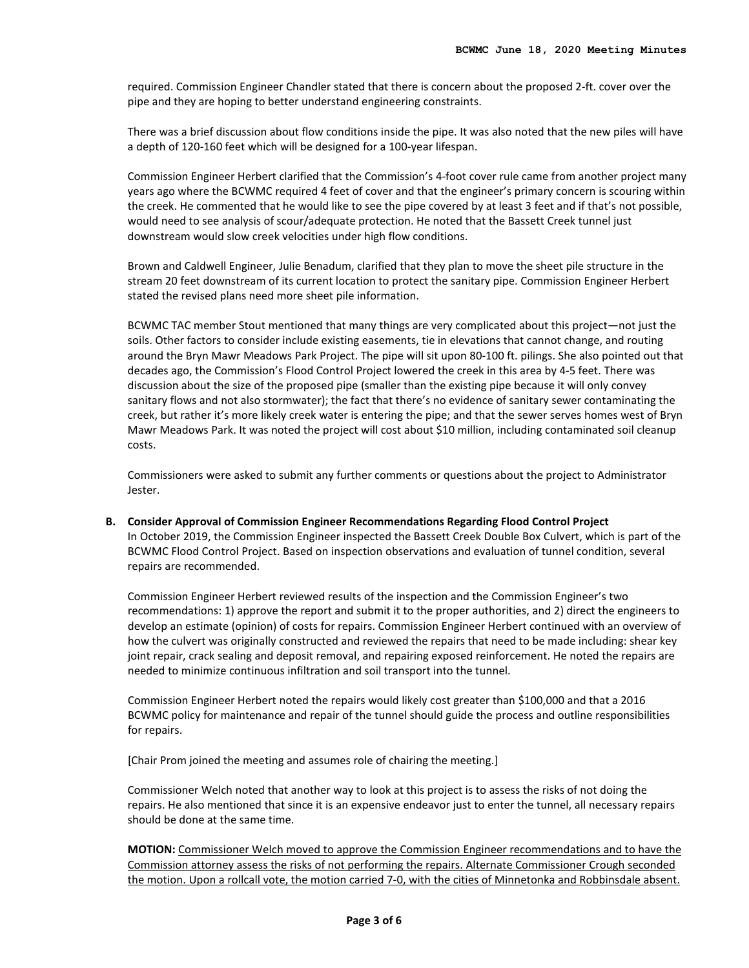required. Commission Engineer Chandler stated that there is concern about the proposed 2-ft. cover over the pipe and they are hoping to better understand engineering constraints.

There was a brief discussion about flow conditions inside the pipe. It was also noted that the new piles will have a depth of 120-160 feet which will be designed for a 100-year lifespan.

Commission Engineer Herbert clarified that the Commission's 4-foot cover rule came from another project many years ago where the BCWMC required 4 feet of cover and that the engineer's primary concern is scouring within the creek. He commented that he would like to see the pipe covered by at least 3 feet and if that's not possible, would need to see analysis of scour/adequate protection. He noted that the Bassett Creek tunnel just downstream would slow creek velocities under high flow conditions.

Brown and Caldwell Engineer, Julie Benadum, clarified that they plan to move the sheet pile structure in the stream 20 feet downstream of its current location to protect the sanitary pipe. Commission Engineer Herbert stated the revised plans need more sheet pile information.

BCWMC TAC member Stout mentioned that many things are very complicated about this project—not just the soils. Other factors to consider include existing easements, tie in elevations that cannot change, and routing around the Bryn Mawr Meadows Park Project. The pipe will sit upon 80-100 ft. pilings. She also pointed out that decades ago, the Commission's Flood Control Project lowered the creek in this area by 4-5 feet. There was discussion about the size of the proposed pipe (smaller than the existing pipe because it will only convey sanitary flows and not also stormwater); the fact that there's no evidence of sanitary sewer contaminating the creek, but rather it's more likely creek water is entering the pipe; and that the sewer serves homes west of Bryn Mawr Meadows Park. It was noted the project will cost about \$10 million, including contaminated soil cleanup costs.

Commissioners were asked to submit any further comments or questions about the project to Administrator Jester.

**B. Consider Approval of Commission Engineer Recommendations Regarding Flood Control Project**  In October 2019, the Commission Engineer inspected the Bassett Creek Double Box Culvert, which is part of the BCWMC Flood Control Project. Based on inspection observations and evaluation of tunnel condition, several repairs are recommended.

Commission Engineer Herbert reviewed results of the inspection and the Commission Engineer's two recommendations: 1) approve the report and submit it to the proper authorities, and 2) direct the engineers to develop an estimate (opinion) of costs for repairs. Commission Engineer Herbert continued with an overview of how the culvert was originally constructed and reviewed the repairs that need to be made including: shear key joint repair, crack sealing and deposit removal, and repairing exposed reinforcement. He noted the repairs are needed to minimize continuous infiltration and soil transport into the tunnel.

Commission Engineer Herbert noted the repairs would likely cost greater than \$100,000 and that a 2016 BCWMC policy for maintenance and repair of the tunnel should guide the process and outline responsibilities for repairs.

[Chair Prom joined the meeting and assumes role of chairing the meeting.]

Commissioner Welch noted that another way to look at this project is to assess the risks of not doing the repairs. He also mentioned that since it is an expensive endeavor just to enter the tunnel, all necessary repairs should be done at the same time.

**MOTION:** Commissioner Welch moved to approve the Commission Engineer recommendations and to have the Commission attorney assess the risks of not performing the repairs. Alternate Commissioner Crough seconded the motion. Upon a rollcall vote, the motion carried 7-0, with the cities of Minnetonka and Robbinsdale absent.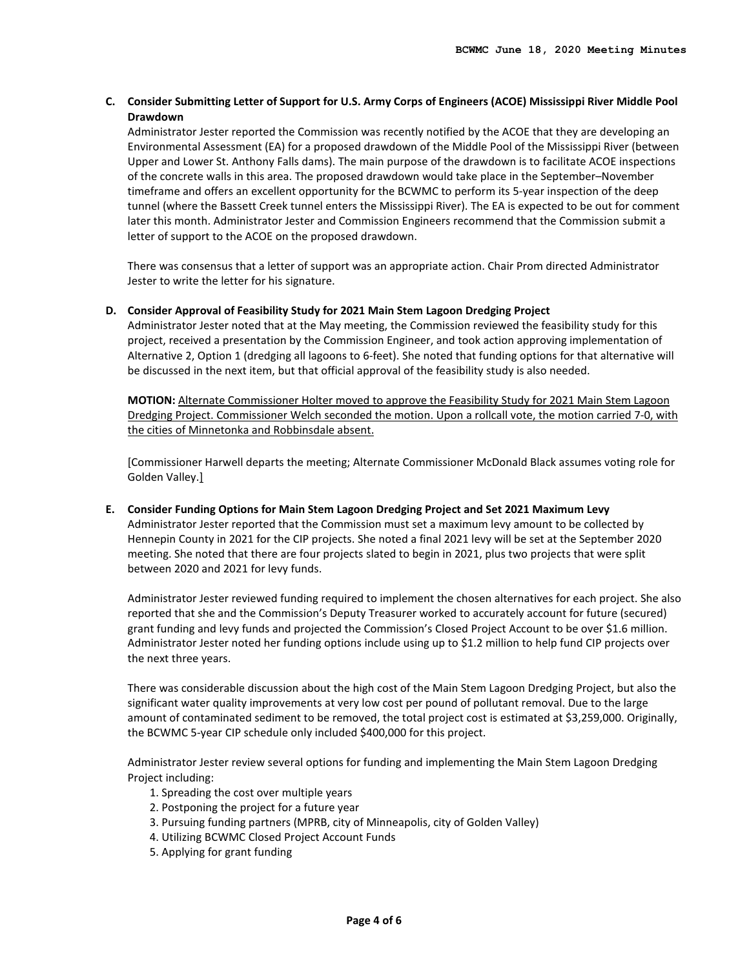# **C. Consider Submitting Letter of Support for U.S. Army Corps of Engineers (ACOE) Mississippi River Middle Pool Drawdown**

Administrator Jester reported the Commission was recently notified by the ACOE that they are developing an Environmental Assessment (EA) for a proposed drawdown of the Middle Pool of the Mississippi River (between Upper and Lower St. Anthony Falls dams). The main purpose of the drawdown is to facilitate ACOE inspections of the concrete walls in this area. The proposed drawdown would take place in the September–November timeframe and offers an excellent opportunity for the BCWMC to perform its 5-year inspection of the deep tunnel (where the Bassett Creek tunnel enters the Mississippi River). The EA is expected to be out for comment later this month. Administrator Jester and Commission Engineers recommend that the Commission submit a letter of support to the ACOE on the proposed drawdown.

There was consensus that a letter of support was an appropriate action. Chair Prom directed Administrator Jester to write the letter for his signature.

#### **D. Consider Approval of Feasibility Study for 2021 Main Stem Lagoon Dredging Project**

Administrator Jester noted that at the May meeting, the Commission reviewed the feasibility study for this project, received a presentation by the Commission Engineer, and took action approving implementation of Alternative 2, Option 1 (dredging all lagoons to 6-feet). She noted that funding options for that alternative will be discussed in the next item, but that official approval of the feasibility study is also needed.

**MOTION:** Alternate Commissioner Holter moved to approve the Feasibility Study for 2021 Main Stem Lagoon Dredging Project. Commissioner Welch seconded the motion. Upon a rollcall vote, the motion carried 7-0, with the cities of Minnetonka and Robbinsdale absent.

[Commissioner Harwell departs the meeting; Alternate Commissioner McDonald Black assumes voting role for Golden Valley.]

**E. Consider Funding Options for Main Stem Lagoon Dredging Project and Set 2021 Maximum Levy** Administrator Jester reported that the Commission must set a maximum levy amount to be collected by Hennepin County in 2021 for the CIP projects. She noted a final 2021 levy will be set at the September 2020 meeting. She noted that there are four projects slated to begin in 2021, plus two projects that were split between 2020 and 2021 for levy funds.

Administrator Jester reviewed funding required to implement the chosen alternatives for each project. She also reported that she and the Commission's Deputy Treasurer worked to accurately account for future (secured) grant funding and levy funds and projected the Commission's Closed Project Account to be over \$1.6 million. Administrator Jester noted her funding options include using up to \$1.2 million to help fund CIP projects over the next three years.

There was considerable discussion about the high cost of the Main Stem Lagoon Dredging Project, but also the significant water quality improvements at very low cost per pound of pollutant removal. Due to the large amount of contaminated sediment to be removed, the total project cost is estimated at \$3,259,000. Originally, the BCWMC 5-year CIP schedule only included \$400,000 for this project.

Administrator Jester review several options for funding and implementing the Main Stem Lagoon Dredging Project including:

- 1. Spreading the cost over multiple years
- 2. Postponing the project for a future year
- 3. Pursuing funding partners (MPRB, city of Minneapolis, city of Golden Valley)
- 4. Utilizing BCWMC Closed Project Account Funds
- 5. Applying for grant funding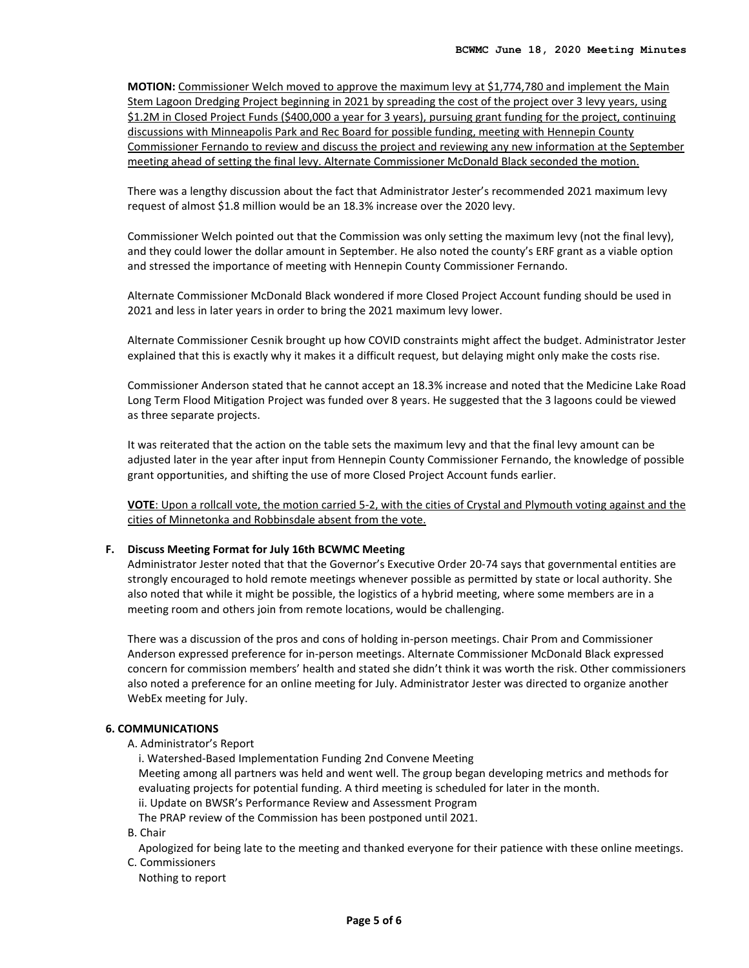**MOTION:** Commissioner Welch moved to approve the maximum levy at \$1,774,780 and implement the Main Stem Lagoon Dredging Project beginning in 2021 by spreading the cost of the project over 3 levy years, using \$1.2M in Closed Project Funds (\$400,000 a year for 3 years), pursuing grant funding for the project, continuing discussions with Minneapolis Park and Rec Board for possible funding, meeting with Hennepin County Commissioner Fernando to review and discuss the project and reviewing any new information at the September meeting ahead of setting the final levy. Alternate Commissioner McDonald Black seconded the motion.

There was a lengthy discussion about the fact that Administrator Jester's recommended 2021 maximum levy request of almost \$1.8 million would be an 18.3% increase over the 2020 levy.

Commissioner Welch pointed out that the Commission was only setting the maximum levy (not the final levy), and they could lower the dollar amount in September. He also noted the county's ERF grant as a viable option and stressed the importance of meeting with Hennepin County Commissioner Fernando.

Alternate Commissioner McDonald Black wondered if more Closed Project Account funding should be used in 2021 and less in later years in order to bring the 2021 maximum levy lower.

Alternate Commissioner Cesnik brought up how COVID constraints might affect the budget. Administrator Jester explained that this is exactly why it makes it a difficult request, but delaying might only make the costs rise.

Commissioner Anderson stated that he cannot accept an 18.3% increase and noted that the Medicine Lake Road Long Term Flood Mitigation Project was funded over 8 years. He suggested that the 3 lagoons could be viewed as three separate projects.

It was reiterated that the action on the table sets the maximum levy and that the final levy amount can be adjusted later in the year after input from Hennepin County Commissioner Fernando, the knowledge of possible grant opportunities, and shifting the use of more Closed Project Account funds earlier.

**VOTE**: Upon a rollcall vote, the motion carried 5-2, with the cities of Crystal and Plymouth voting against and the cities of Minnetonka and Robbinsdale absent from the vote.

#### **F. Discuss Meeting Format for July 16th BCWMC Meeting**

Administrator Jester noted that that the Governor's Executive Order 20-74 says that governmental entities are strongly encouraged to hold remote meetings whenever possible as permitted by state or local authority. She also noted that while it might be possible, the logistics of a hybrid meeting, where some members are in a meeting room and others join from remote locations, would be challenging.

There was a discussion of the pros and cons of holding in-person meetings. Chair Prom and Commissioner Anderson expressed preference for in-person meetings. Alternate Commissioner McDonald Black expressed concern for commission members' health and stated she didn't think it was worth the risk. Other commissioners also noted a preference for an online meeting for July. Administrator Jester was directed to organize another WebEx meeting for July.

#### **6. COMMUNICATIONS**

A. Administrator's Report

i. Watershed-Based Implementation Funding 2nd Convene Meeting Meeting among all partners was held and went well. The group began developing metrics and methods for evaluating projects for potential funding. A third meeting is scheduled for later in the month. ii. Update on BWSR's Performance Review and Assessment Program

The PRAP review of the Commission has been postponed until 2021.

B. Chair

Apologized for being late to the meeting and thanked everyone for their patience with these online meetings. C. Commissioners

Nothing to report